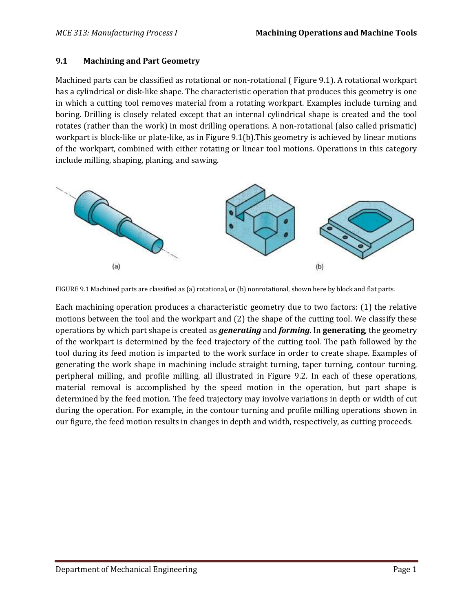#### **9.1 Machining and Part Geometry**

Machined parts can be classified as rotational or non-rotational ( Figure 9.1). A rotational workpart has a cylindrical or disk-like shape. The characteristic operation that produces this geometry is one in which a cutting tool removes material from a rotating workpart. Examples include turning and boring. Drilling is closely related except that an internal cylindrical shape is created and the tool rotates (rather than the work) in most drilling operations. A non-rotational (also called prismatic) workpart is block-like or plate-like, as in Figure 9.1(b).This geometry is achieved by linear motions of the workpart, combined with either rotating or linear tool motions. Operations in this category include milling, shaping, planing, and sawing.



FIGURE 9.1 Machined parts are classified as (a) rotational, or (b) nonrotational, shown here by block and flat parts.

Each machining operation produces a characteristic geometry due to two factors: (1) the relative motions between the tool and the workpart and (2) the shape of the cutting tool. We classify these operations by which part shape is created as *generating* and *forming*. In **generating**, the geometry of the workpart is determined by the feed trajectory of the cutting tool. The path followed by the tool during its feed motion is imparted to the work surface in order to create shape. Examples of generating the work shape in machining include straight turning, taper turning, contour turning, peripheral milling, and profile milling, all illustrated in Figure 9.2. In each of these operations, material removal is accomplished by the speed motion in the operation, but part shape is determined by the feed motion. The feed trajectory may involve variations in depth or width of cut during the operation. For example, in the contour turning and profile milling operations shown in our figure, the feed motion results in changes in depth and width, respectively, as cutting proceeds.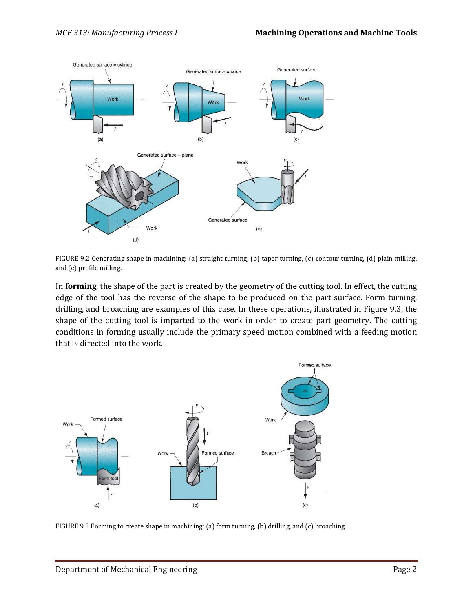

FIGURE 9.2 Generating shape in machining: (a) straight turning, (b) taper turning, (c) contour turning, (d) plain milling, and (e) profile milling.

In **forming**, the shape of the part is created by the geometry of the cutting tool. In effect, the cutting edge of the tool has the reverse of the shape to be produced on the part surface. Form turning, drilling, and broaching are examples of this case. In these operations, illustrated in Figure 9.3, the shape of the cutting tool is imparted to the work in order to create part geometry. The cutting conditions in forming usually include the primary speed motion combined with a feeding motion that is directed into the work.



FIGURE 9.3 Forming to create shape in machining: (a) form turning, (b) drilling, and (c) broaching.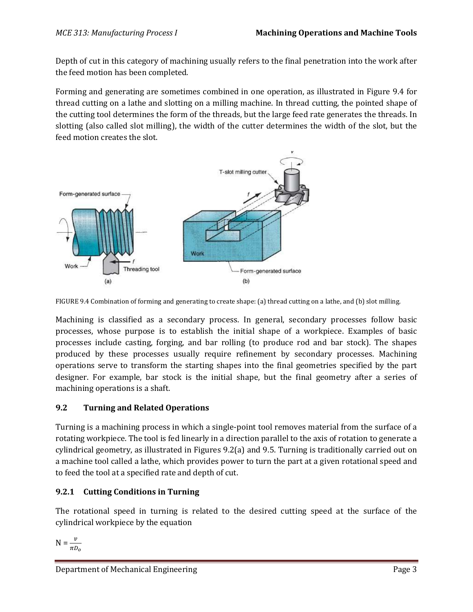Depth of cut in this category of machining usually refers to the final penetration into the work after the feed motion has been completed.

Forming and generating are sometimes combined in one operation, as illustrated in Figure 9.4 for thread cutting on a lathe and slotting on a milling machine. In thread cutting, the pointed shape of the cutting tool determines the form of the threads, but the large feed rate generates the threads. In slotting (also called slot milling), the width of the cutter determines the width of the slot, but the feed motion creates the slot.



FIGURE 9.4 Combination of forming and generating to create shape: (a) thread cutting on a lathe, and (b) slot milling.

Machining is classified as a secondary process. In general, secondary processes follow basic processes, whose purpose is to establish the initial shape of a workpiece. Examples of basic processes include casting, forging, and bar rolling (to produce rod and bar stock). The shapes produced by these processes usually require refinement by secondary processes. Machining operations serve to transform the starting shapes into the final geometries specified by the part designer. For example, bar stock is the initial shape, but the final geometry after a series of machining operations is a shaft.

## **9.2 Turning and Related Operations**

Turning is a machining process in which a single-point tool removes material from the surface of a rotating workpiece. The tool is fed linearly in a direction parallel to the axis of rotation to generate a cylindrical geometry, as illustrated in Figures 9.2(a) and 9.5. Turning is traditionally carried out on a machine tool called a lathe, which provides power to turn the part at a given rotational speed and to feed the tool at a specified rate and depth of cut.

# **9.2.1 Cutting Conditions in Turning**

The rotational speed in turning is related to the desired cutting speed at the surface of the cylindrical workpiece by the equation

$$
N = \frac{v}{\pi D_o}
$$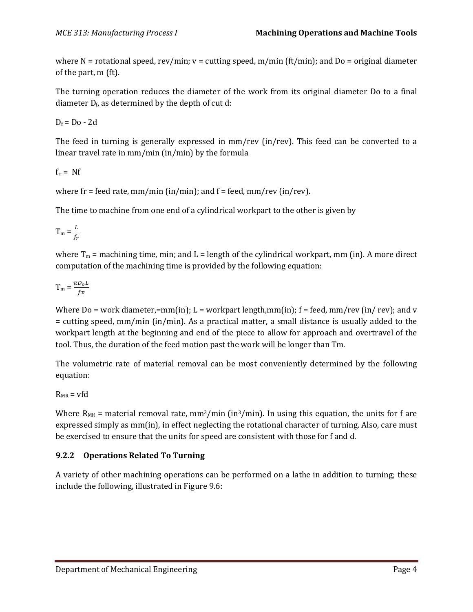where N = rotational speed, rev/min;  $v =$  cutting speed, m/min (ft/min); and Do = original diameter of the part, m (ft).

The turning operation reduces the diameter of the work from its original diameter Do to a final diameter  $D_f$ , as determined by the depth of cut d:

 $D_f = Do - 2d$ 

The feed in turning is generally expressed in mm/rev (in/rev). This feed can be converted to a linear travel rate in mm/min (in/min) by the formula

$$
f_r = Nf
$$

where  $fr = feed$  rate, mm/min (in/min); and  $f = feed$ , mm/rev (in/rev).

The time to machine from one end of a cylindrical workpart to the other is given by

 $T_m = \frac{L}{c}$ f,

where  $T_m$  = machining time, min; and L = length of the cylindrical workpart, mm (in). A more direct computation of the machining time is provided by the following equation:

$$
T_m = \frac{\pi D_o L}{f v}
$$

Where Do = work diameter,=mm(in); L = workpart length,mm(in); f = feed, mm/rev (in/ rev); and v = cutting speed, mm/min (in/min). As a practical matter, a small distance is usually added to the workpart length at the beginning and end of the piece to allow for approach and overtravel of the tool. Thus, the duration of the feed motion past the work will be longer than Tm.

The volumetric rate of material removal can be most conveniently determined by the following equation:

 $R_{MR}$  = vfd

Where  $R_{MR}$  = material removal rate, mm<sup>3</sup>/min (in<sup>3</sup>/min). In using this equation, the units for f are expressed simply as mm(in), in effect neglecting the rotational character of turning. Also, care must be exercised to ensure that the units for speed are consistent with those for f and d.

## **9.2.2 Operations Related To Turning**

A variety of other machining operations can be performed on a lathe in addition to turning; these include the following, illustrated in Figure 9.6: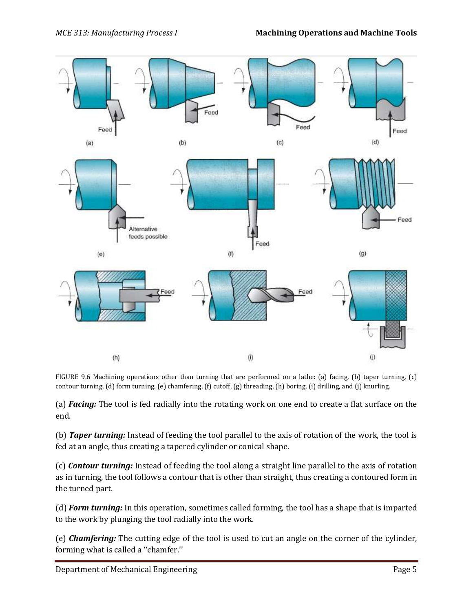

FIGURE 9.6 Machining operations other than turning that are performed on a lathe: (a) facing, (b) taper turning, (c) contour turning, (d) form turning, (e) chamfering, (f) cutoff, (g) threading, (h) boring, (i) drilling, and (j) knurling.

(a) *Facing:* The tool is fed radially into the rotating work on one end to create a flat surface on the end.

(b) *Taper turning:* Instead of feeding the tool parallel to the axis of rotation of the work, the tool is fed at an angle, thus creating a tapered cylinder or conical shape.

(c) *Contour turning:* Instead of feeding the tool along a straight line parallel to the axis of rotation as in turning, the tool follows a contour that is other than straight, thus creating a contoured form in the turned part.

(d) *Form turning:* In this operation, sometimes called forming, the tool has a shape that is imparted to the work by plunging the tool radially into the work.

(e) *Chamfering:* The cutting edge of the tool is used to cut an angle on the corner of the cylinder, forming what is called a ''chamfer.''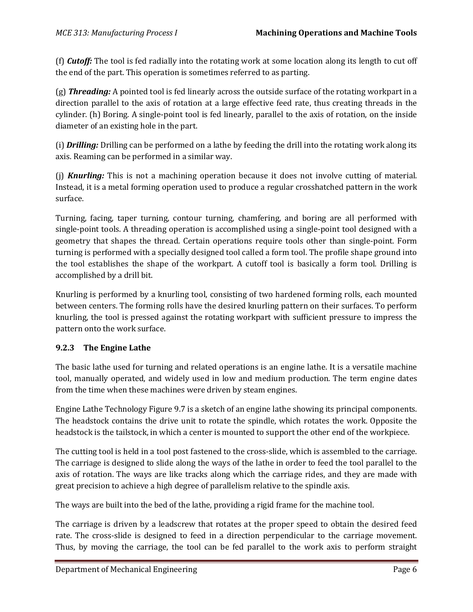(f) *Cutoff:* The tool is fed radially into the rotating work at some location along its length to cut off the end of the part. This operation is sometimes referred to as parting.

(g) *Threading:* A pointed tool is fed linearly across the outside surface of the rotating workpart in a direction parallel to the axis of rotation at a large effective feed rate, thus creating threads in the cylinder. (h) Boring. A single-point tool is fed linearly, parallel to the axis of rotation, on the inside diameter of an existing hole in the part.

(i) *Drilling:* Drilling can be performed on a lathe by feeding the drill into the rotating work along its axis. Reaming can be performed in a similar way.

(j) *Knurling:* This is not a machining operation because it does not involve cutting of material. Instead, it is a metal forming operation used to produce a regular crosshatched pattern in the work surface.

Turning, facing, taper turning, contour turning, chamfering, and boring are all performed with single-point tools. A threading operation is accomplished using a single-point tool designed with a geometry that shapes the thread. Certain operations require tools other than single-point. Form turning is performed with a specially designed tool called a form tool. The profile shape ground into the tool establishes the shape of the workpart. A cutoff tool is basically a form tool. Drilling is accomplished by a drill bit.

Knurling is performed by a knurling tool, consisting of two hardened forming rolls, each mounted between centers. The forming rolls have the desired knurling pattern on their surfaces. To perform knurling, the tool is pressed against the rotating workpart with sufficient pressure to impress the pattern onto the work surface.

## **9.2.3 The Engine Lathe**

The basic lathe used for turning and related operations is an engine lathe. It is a versatile machine tool, manually operated, and widely used in low and medium production. The term engine dates from the time when these machines were driven by steam engines.

Engine Lathe Technology Figure 9.7 is a sketch of an engine lathe showing its principal components. The headstock contains the drive unit to rotate the spindle, which rotates the work. Opposite the headstock is the tailstock, in which a center is mounted to support the other end of the workpiece.

The cutting tool is held in a tool post fastened to the cross-slide, which is assembled to the carriage. The carriage is designed to slide along the ways of the lathe in order to feed the tool parallel to the axis of rotation. The ways are like tracks along which the carriage rides, and they are made with great precision to achieve a high degree of parallelism relative to the spindle axis.

The ways are built into the bed of the lathe, providing a rigid frame for the machine tool.

The carriage is driven by a leadscrew that rotates at the proper speed to obtain the desired feed rate. The cross-slide is designed to feed in a direction perpendicular to the carriage movement. Thus, by moving the carriage, the tool can be fed parallel to the work axis to perform straight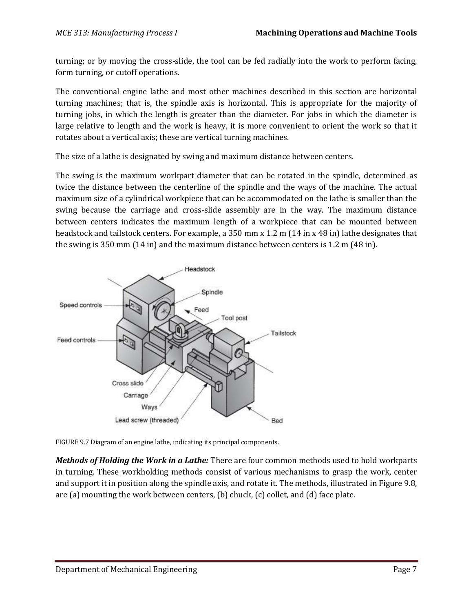turning; or by moving the cross-slide, the tool can be fed radially into the work to perform facing, form turning, or cutoff operations.

The conventional engine lathe and most other machines described in this section are horizontal turning machines; that is, the spindle axis is horizontal. This is appropriate for the majority of turning jobs, in which the length is greater than the diameter. For jobs in which the diameter is large relative to length and the work is heavy, it is more convenient to orient the work so that it rotates about a vertical axis; these are vertical turning machines.

The size of a lathe is designated by swing and maximum distance between centers.

The swing is the maximum workpart diameter that can be rotated in the spindle, determined as twice the distance between the centerline of the spindle and the ways of the machine. The actual maximum size of a cylindrical workpiece that can be accommodated on the lathe is smaller than the swing because the carriage and cross-slide assembly are in the way. The maximum distance between centers indicates the maximum length of a workpiece that can be mounted between headstock and tailstock centers. For example, a 350 mm x 1.2 m (14 in x 48 in) lathe designates that the swing is 350 mm (14 in) and the maximum distance between centers is 1.2 m (48 in).



FIGURE 9.7 Diagram of an engine lathe, indicating its principal components.

*Methods of Holding the Work in a Lathe:* There are four common methods used to hold workparts in turning. These workholding methods consist of various mechanisms to grasp the work, center and support it in position along the spindle axis, and rotate it. The methods, illustrated in Figure 9.8, are (a) mounting the work between centers, (b) chuck, (c) collet, and (d) face plate.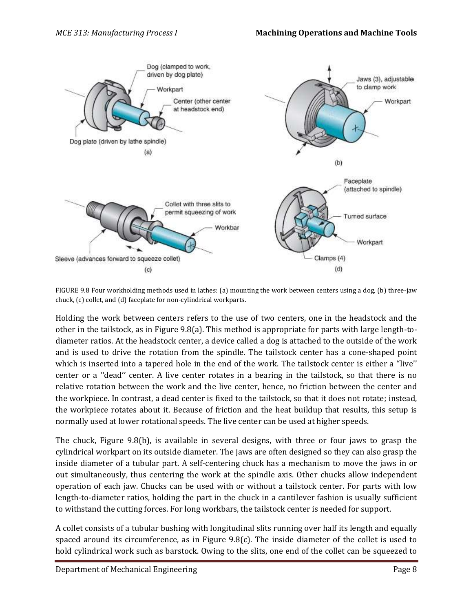

FIGURE 9.8 Four workholding methods used in lathes: (a) mounting the work between centers using a dog, (b) three-jaw chuck, (c) collet, and (d) faceplate for non-cylindrical workparts.

Holding the work between centers refers to the use of two centers, one in the headstock and the other in the tailstock, as in Figure 9.8(a). This method is appropriate for parts with large length-todiameter ratios. At the headstock center, a device called a dog is attached to the outside of the work and is used to drive the rotation from the spindle. The tailstock center has a cone-shaped point which is inserted into a tapered hole in the end of the work. The tailstock center is either a "live" center or a ''dead'' center. A live center rotates in a bearing in the tailstock, so that there is no relative rotation between the work and the live center, hence, no friction between the center and the workpiece. In contrast, a dead center is fixed to the tailstock, so that it does not rotate; instead, the workpiece rotates about it. Because of friction and the heat buildup that results, this setup is normally used at lower rotational speeds. The live center can be used at higher speeds.

The chuck, Figure 9.8(b), is available in several designs, with three or four jaws to grasp the cylindrical workpart on its outside diameter. The jaws are often designed so they can also grasp the inside diameter of a tubular part. A self-centering chuck has a mechanism to move the jaws in or out simultaneously, thus centering the work at the spindle axis. Other chucks allow independent operation of each jaw. Chucks can be used with or without a tailstock center. For parts with low length-to-diameter ratios, holding the part in the chuck in a cantilever fashion is usually sufficient to withstand the cutting forces. For long workbars, the tailstock center is needed for support.

A collet consists of a tubular bushing with longitudinal slits running over half its length and equally spaced around its circumference, as in Figure 9.8(c). The inside diameter of the collet is used to hold cylindrical work such as barstock. Owing to the slits, one end of the collet can be squeezed to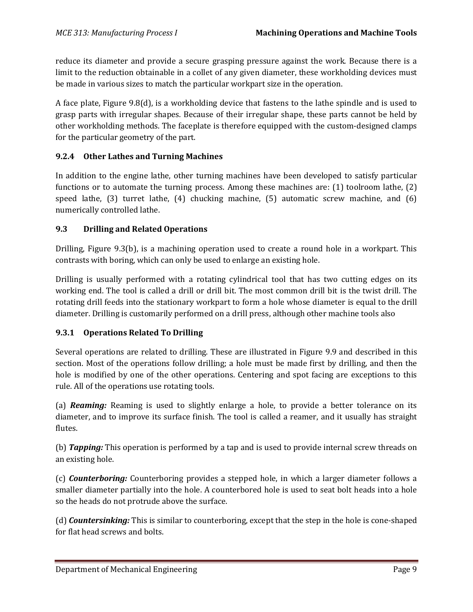reduce its diameter and provide a secure grasping pressure against the work. Because there is a limit to the reduction obtainable in a collet of any given diameter, these workholding devices must be made in various sizes to match the particular workpart size in the operation.

A face plate, Figure 9.8(d), is a workholding device that fastens to the lathe spindle and is used to grasp parts with irregular shapes. Because of their irregular shape, these parts cannot be held by other workholding methods. The faceplate is therefore equipped with the custom-designed clamps for the particular geometry of the part.

## **9.2.4 Other Lathes and Turning Machines**

In addition to the engine lathe, other turning machines have been developed to satisfy particular functions or to automate the turning process. Among these machines are: (1) toolroom lathe, (2) speed lathe, (3) turret lathe, (4) chucking machine, (5) automatic screw machine, and (6) numerically controlled lathe.

#### **9.3 Drilling and Related Operations**

Drilling, Figure 9.3(b), is a machining operation used to create a round hole in a workpart. This contrasts with boring, which can only be used to enlarge an existing hole.

Drilling is usually performed with a rotating cylindrical tool that has two cutting edges on its working end. The tool is called a drill or drill bit. The most common drill bit is the twist drill. The rotating drill feeds into the stationary workpart to form a hole whose diameter is equal to the drill diameter. Drilling is customarily performed on a drill press, although other machine tools also

## **9.3.1 Operations Related To Drilling**

Several operations are related to drilling. These are illustrated in Figure 9.9 and described in this section. Most of the operations follow drilling; a hole must be made first by drilling, and then the hole is modified by one of the other operations. Centering and spot facing are exceptions to this rule. All of the operations use rotating tools.

(a) *Reaming:* Reaming is used to slightly enlarge a hole, to provide a better tolerance on its diameter, and to improve its surface finish. The tool is called a reamer, and it usually has straight flutes.

(b) *Tapping:* This operation is performed by a tap and is used to provide internal screw threads on an existing hole.

(c) *Counterboring:* Counterboring provides a stepped hole, in which a larger diameter follows a smaller diameter partially into the hole. A counterbored hole is used to seat bolt heads into a hole so the heads do not protrude above the surface.

(d) *Countersinking:* This is similar to counterboring, except that the step in the hole is cone-shaped for flat head screws and bolts.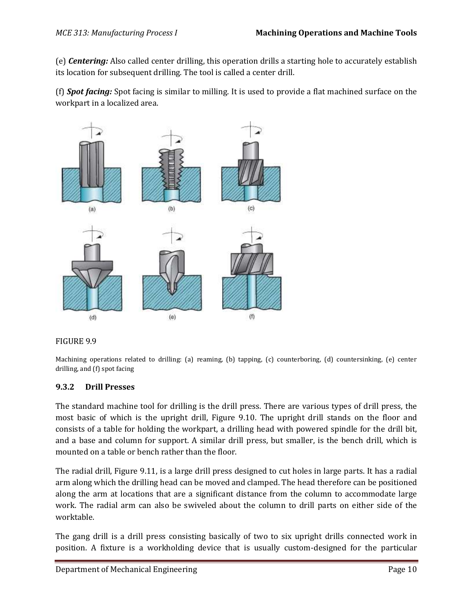(e) *Centering:* Also called center drilling, this operation drills a starting hole to accurately establish its location for subsequent drilling. The tool is called a center drill.

(f) *Spot facing:* Spot facing is similar to milling. It is used to provide a flat machined surface on the workpart in a localized area.



## FIGURE 9.9

Machining operations related to drilling: (a) reaming, (b) tapping, (c) counterboring, (d) countersinking, (e) center drilling, and (f) spot facing

## **9.3.2 Drill Presses**

The standard machine tool for drilling is the drill press. There are various types of drill press, the most basic of which is the upright drill, Figure 9.10. The upright drill stands on the floor and consists of a table for holding the workpart, a drilling head with powered spindle for the drill bit, and a base and column for support. A similar drill press, but smaller, is the bench drill, which is mounted on a table or bench rather than the floor.

The radial drill, Figure 9.11, is a large drill press designed to cut holes in large parts. It has a radial arm along which the drilling head can be moved and clamped. The head therefore can be positioned along the arm at locations that are a significant distance from the column to accommodate large work. The radial arm can also be swiveled about the column to drill parts on either side of the worktable.

The gang drill is a drill press consisting basically of two to six upright drills connected work in position. A fixture is a workholding device that is usually custom-designed for the particular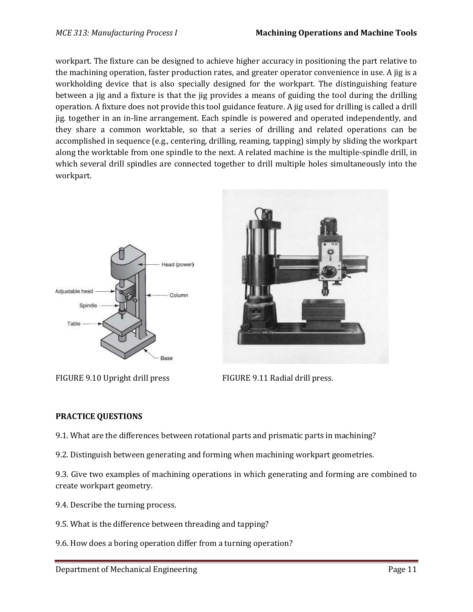workpart. The fixture can be designed to achieve higher accuracy in positioning the part relative to the machining operation, faster production rates, and greater operator convenience in use. A jig is a workholding device that is also specially designed for the workpart. The distinguishing feature between a jig and a fixture is that the jig provides a means of guiding the tool during the drilling operation. A fixture does not provide this tool guidance feature. A jig used for drilling is called a drill jig. together in an in-line arrangement. Each spindle is powered and operated independently, and they share a common worktable, so that a series of drilling and related operations can be accomplished in sequence (e.g., centering, drilling, reaming, tapping) simply by sliding the workpart along the worktable from one spindle to the next. A related machine is the multiple-spindle drill, in which several drill spindles are connected together to drill multiple holes simultaneously into the workpart.



FIGURE 9.10 Upright drill press FIGURE 9.11 Radial drill press.



# **PRACTICE QUESTIONS**

9.1. What are the differences between rotational parts and prismatic parts in machining?

9.2. Distinguish between generating and forming when machining workpart geometries.

9.3. Give two examples of machining operations in which generating and forming are combined to create workpart geometry.

- 9.4. Describe the turning process.
- 9.5. What is the difference between threading and tapping?
- 9.6. How does a boring operation differ from a turning operation?